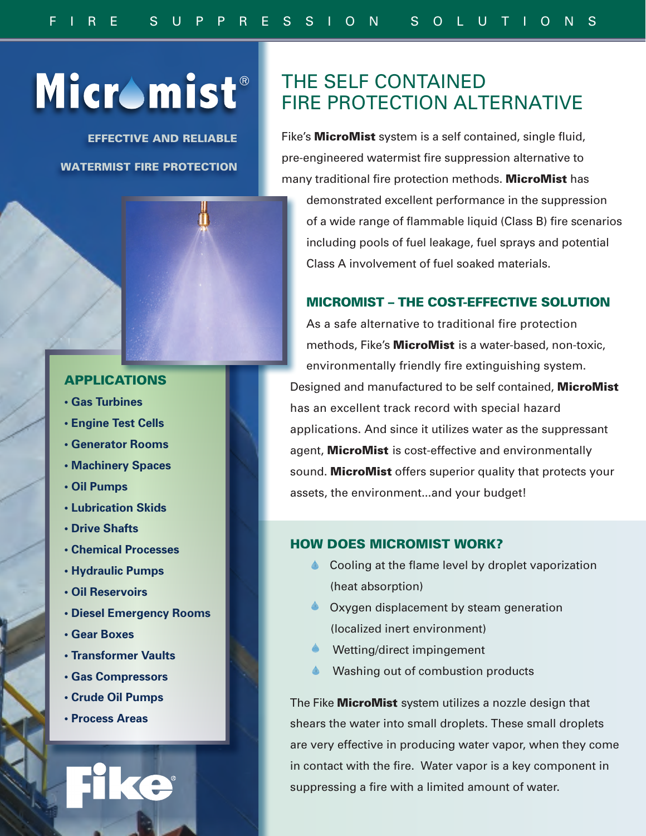# Micromist®

EFFECTIVE AND RELIABLE WATERMIST FIRE PROTECTION



- **Gas Turbines**
- **Engine Test Cells**
- **Generator Rooms**
- **Machinery Spaces**
- **Oil Pumps**
- **Lubrication Skids**
- **Drive Shafts**
- **Chemical Processes**
- **Hydraulic Pumps**
- **Oil Reservoirs**
- **Diesel Emergency Rooms**
- **Gear Boxes**
- **Transformer Vaults**
- **Gas Compressors**
- **Crude Oil Pumps**
- **Process Areas**

# THE SELF CONTAINED FIRE PROTECTION ALTERNATIVE

Fike's **MicroMist** system is a self contained, single fluid, pre-engineered watermist fire suppression alternative to many traditional fire protection methods. MicroMist has

demonstrated excellent performance in the suppression of a wide range of flammable liquid (Class B) fire scenarios including pools of fuel leakage, fuel sprays and potential Class A involvement of fuel soaked materials.

## MICROMIST – THE COST-EFFECTIVE SOLUTION

As a safe alternative to traditional fire protection methods, Fike's **MicroMist** is a water-based, non-toxic, environmentally friendly fire extinguishing system. Designed and manufactured to be self contained, MicroMist has an excellent track record with special hazard applications. And since it utilizes water as the suppressant agent, MicroMist is cost-effective and environmentally sound. MicroMist offers superior quality that protects your assets, the environment...and your budget!

#### HOW DOES MICROMIST WORK?

- **◆ Cooling at the flame level by droplet vaporization** (heat absorption)
- **Oxygen displacement by steam generation** (localized inert environment)
- **Wetting/direct impingement**
- Washing out of combustion products

The Fike **MicroMist** system utilizes a nozzle design that shears the water into small droplets. These small droplets are very effective in producing water vapor, when they come in contact with the fire. Water vapor is a key component in suppressing a fire with a limited amount of water.